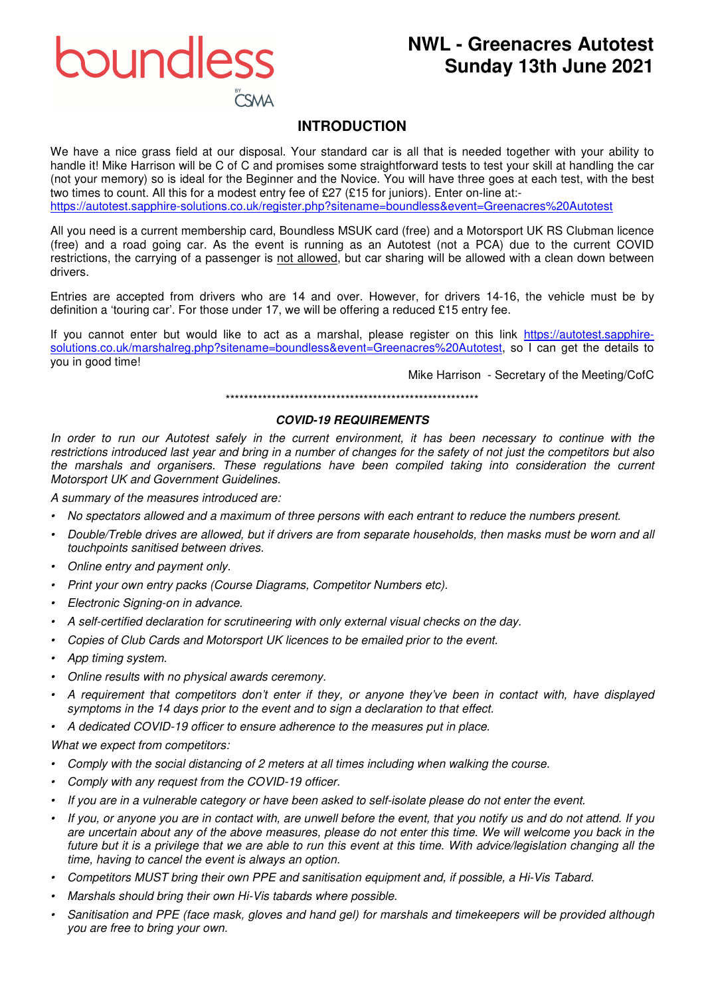boundless

# **NWL - Greenacres Autotest Sunday 13th June 2021**

# **INTRODUCTION**

We have a nice grass field at our disposal. Your standard car is all that is needed together with your ability to handle it! Mike Harrison will be C of C and promises some straightforward tests to test your skill at handling the car (not your memory) so is ideal for the Beginner and the Novice. You will have three goes at each test, with the best two times to count. All this for a modest entry fee of £27 (£15 for juniors). Enter on-line at:-

https://autotest.sapphire-solutions.co.uk/register.php?sitename=boundless&event=Greenacres%20Autotest

All you need is a current membership card, Boundless MSUK card (free) and a Motorsport UK RS Clubman licence (free) and a road going car. As the event is running as an Autotest (not a PCA) due to the current COVID restrictions, the carrying of a passenger is not allowed, but car sharing will be allowed with a clean down between drivers.

Entries are accepted from drivers who are 14 and over. However, for drivers 14-16, the vehicle must be by definition a 'touring car'. For those under 17, we will be offering a reduced £15 entry fee.

If you cannot enter but would like to act as a marshal, please register on this link https://autotest.sapphiresolutions.co.uk/marshalreg.php?sitename=boundless&event=Greenacres%20Autotest, so I can get the details to you in good time!

Mike Harrison - Secretary of the Meeting/CofC

\*\*\*\*\*\*\*\*\*\*\*\*\*\*\*\*\*\*\*\*\*\*\*\*\*\*\*\*\*\*\*\*\*\*\*\*\*\*\*\*\*\*\*\*\*\*\*\*\*\*\*\*\*\*\*

## **COVID-19 REQUIREMENTS**

*In order to run our Autotest safely in the current environment, it has been necessary to continue with the restrictions introduced last year and bring in a number of changes for the safety of not just the competitors but also the marshals and organisers. These regulations have been compiled taking into consideration the current Motorsport UK and Government Guidelines.* 

*A summary of the measures introduced are:* 

- *No spectators allowed and a maximum of three persons with each entrant to reduce the numbers present.*
- *Double/Treble drives are allowed, but if drivers are from separate households, then masks must be worn and all touchpoints sanitised between drives.*
- *Online entry and payment only.*
- *Print your own entry packs (Course Diagrams, Competitor Numbers etc).*
- *Electronic Signing-on in advance.*
- *A self-certified declaration for scrutineering with only external visual checks on the day.*
- *Copies of Club Cards and Motorsport UK licences to be emailed prior to the event.*
- *App timing system.*
- *Online results with no physical awards ceremony.*
- *A requirement that competitors don't enter if they, or anyone they've been in contact with, have displayed symptoms in the 14 days prior to the event and to sign a declaration to that effect.*
- *A dedicated COVID-19 officer to ensure adherence to the measures put in place.*

*What we expect from competitors:* 

- *Comply with the social distancing of 2 meters at all times including when walking the course.*
- *Comply with any request from the COVID-19 officer.*
- *If you are in a vulnerable category or have been asked to self-isolate please do not enter the event.*
- *If you, or anyone you are in contact with, are unwell before the event, that you notify us and do not attend. If you are uncertain about any of the above measures, please do not enter this time. We will welcome you back in the*  future but it is a privilege that we are able to run this event at this time. With advice/legislation changing all the *time, having to cancel the event is always an option.*
- *Competitors MUST bring their own PPE and sanitisation equipment and, if possible, a Hi-Vis Tabard.*
- *Marshals should bring their own Hi-Vis tabards where possible.*
- *Sanitisation and PPE (face mask, gloves and hand gel) for marshals and timekeepers will be provided although you are free to bring your own.*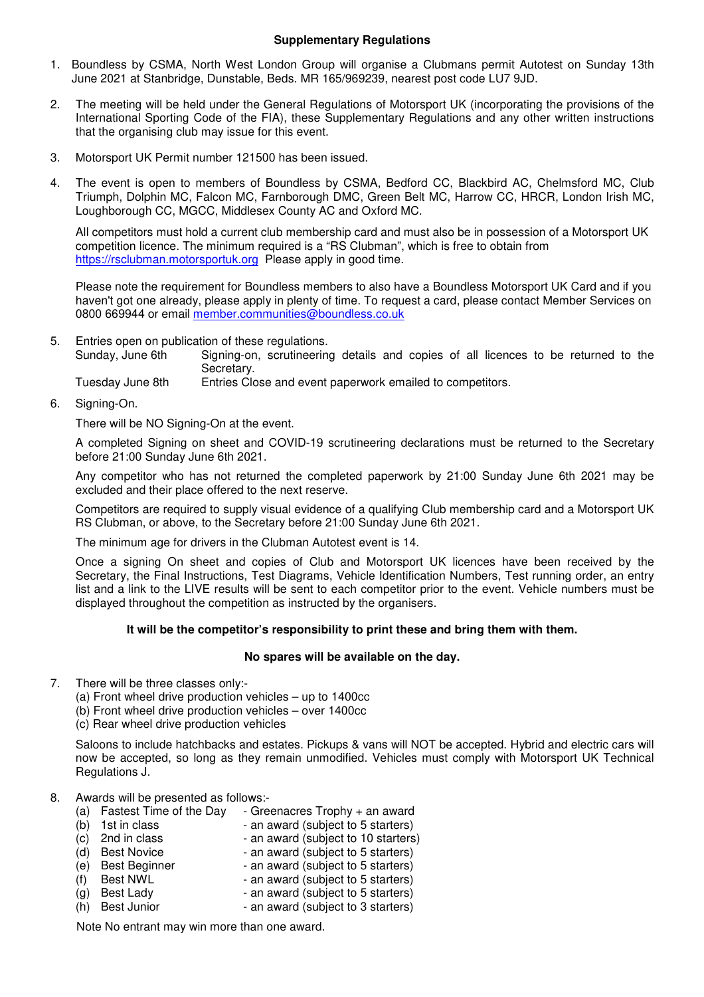#### **Supplementary Regulations**

- 1. Boundless by CSMA, North West London Group will organise a Clubmans permit Autotest on Sunday 13th June 2021 at Stanbridge, Dunstable, Beds. MR 165/969239, nearest post code LU7 9JD.
- 2. The meeting will be held under the General Regulations of Motorsport UK (incorporating the provisions of the International Sporting Code of the FIA), these Supplementary Regulations and any other written instructions that the organising club may issue for this event.
- 3. Motorsport UK Permit number 121500 has been issued.
- 4. The event is open to members of Boundless by CSMA, Bedford CC, Blackbird AC, Chelmsford MC, Club Triumph, Dolphin MC, Falcon MC, Farnborough DMC, Green Belt MC, Harrow CC, HRCR, London Irish MC, Loughborough CC, MGCC, Middlesex County AC and Oxford MC.

All competitors must hold a current club membership card and must also be in possession of a Motorsport UK competition licence. The minimum required is a "RS Clubman", which is free to obtain from https://rsclubman.motorsportuk.org Please apply in good time.

Please note the requirement for Boundless members to also have a Boundless Motorsport UK Card and if you haven't got one already, please apply in plenty of time. To request a card, please contact Member Services on 0800 669944 or email member.communities@boundless.co.uk

5. Entries open on publication of these regulations. Signing-on, scrutineering details and copies of all licences to be returned to the Secretary.

Tuesday June 8th Entries Close and event paperwork emailed to competitors.

6. Signing-On.

There will be NO Signing-On at the event.

 A completed Signing on sheet and COVID-19 scrutineering declarations must be returned to the Secretary before 21:00 Sunday June 6th 2021.

 Any competitor who has not returned the completed paperwork by 21:00 Sunday June 6th 2021 may be excluded and their place offered to the next reserve.

 Competitors are required to supply visual evidence of a qualifying Club membership card and a Motorsport UK RS Clubman, or above, to the Secretary before 21:00 Sunday June 6th 2021.

The minimum age for drivers in the Clubman Autotest event is 14.

 Once a signing On sheet and copies of Club and Motorsport UK licences have been received by the Secretary, the Final Instructions, Test Diagrams, Vehicle Identification Numbers, Test running order, an entry list and a link to the LIVE results will be sent to each competitor prior to the event. Vehicle numbers must be displayed throughout the competition as instructed by the organisers.

### **It will be the competitor's responsibility to print these and bring them with them.**

#### **No spares will be available on the day.**

- 7. There will be three classes only:-
	- (a) Front wheel drive production vehicles up to 1400cc
	- (b) Front wheel drive production vehicles over 1400cc
	- (c) Rear wheel drive production vehicles

Saloons to include hatchbacks and estates. Pickups & vans will NOT be accepted. Hybrid and electric cars will now be accepted, so long as they remain unmodified. Vehicles must comply with Motorsport UK Technical Regulations J.

#### 8. Awards will be presented as follows:-

(a) Fastest Time of the Day - Greenacres Trophy + an award<br>
(b) 1st in class - an award (subject to 5 starters)<br>
(c) 2nd in class - an award (subject to 10 starters) - an award (subject to 5 starters)  $\overline{c}$  2nd in class  $\overline{c}$  - an award (subject to 10 starters)<br>
(d) Best Novice  $\overline{c}$  - an award (subject to 5 starters) (d) Best Novice - an award (subject to 5 starters)<br>
(e) Best Beginner - an award (subject to 5 starters) (e) Best Beginner - an award (subject to 5 starters)<br>(f) Best NWL - an award (subject to 5 starters) (f) Best NWL - an award (subject to 5 starters)<br>(g) Best Lady - an award (subject to 5 starters) - an award (subject to 5 starters) (h) Best Junior - an award (subject to 3 starters)

Note No entrant may win more than one award.